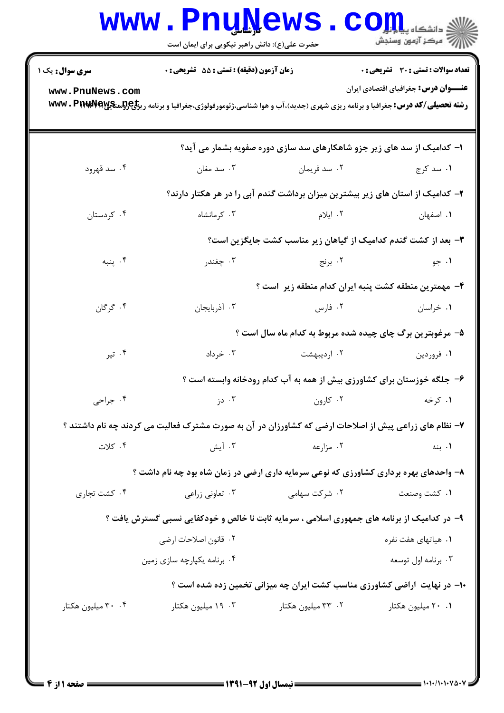| <b>سری سوال :</b> یک ۱ | زمان آزمون (دقیقه) : تستی : 55 گشریحی : 0                                                                                                      |                                                                                | <b>تعداد سوالات : تستی : 30 ٪ تشریحی : 0</b> |
|------------------------|------------------------------------------------------------------------------------------------------------------------------------------------|--------------------------------------------------------------------------------|----------------------------------------------|
| www.PnuNews.com        | <b>رشته تحصیلی/کد درس:</b> جغرافیا و برنامه ریزی شهری (جدید)،آب و هوا شناسی،ژئومورفولوژی،جغرافیا و برنامه ری <del>زلیCولیتیها www . Prwy</del> |                                                                                | <b>عنـــوان درس:</b> جغرافیای اقتصادی ایران  |
|                        |                                                                                                                                                | ا- کدامیک از سد های زیر جزو شاهکارهای سد سازی دوره صفویه بشمار می آید؟         |                                              |
| ۰۴ سد قهرود            | ۰۳ سد مغان                                                                                                                                     | ۰۲ سد فريمان                                                                   | ۰۱ سد کرج                                    |
|                        |                                                                                                                                                | ۲– کدامیک از استان های زیر بیشترین میزان برداشت گندم آبی را در هر هکتار دارند؟ |                                              |
| ۰۴ کردستان             | ۰۳ کرمانشاه                                                                                                                                    | ۰۲ ایلام                                                                       | ٠١. اصفهان                                   |
|                        |                                                                                                                                                | ۳- بعد از کشت گندم کدامیک از گیاهان زیر مناسب کشت جایگزین است؟                 |                                              |
| ۰۴ پنبه                | ۰۳ چغندر                                                                                                                                       | ۰۲ برنج                                                                        | ۰۱ جو                                        |
|                        |                                                                                                                                                | ۴- مهمترین منطقه کشت پنبه ایران کدام منطقه زیر است ؟                           |                                              |
| ۰۴ گرگان               | ۰۳ آذربایجان                                                                                                                                   | ۰۲ فارس                                                                        | ۰۱ خراسان                                    |
|                        |                                                                                                                                                | ۵- مرغوبترین برگ چای چیده شده مربوط به کدام ماه سال است ؟                      |                                              |
| ۰۴ تیر                 | ۰۳ خرداد                                                                                                                                       | ۰۲ اردیبهشت                                                                    | ۰۱ فروردين                                   |
|                        |                                                                                                                                                | ۶– جلگه خوزستان برای کشاورزی بیش از همه به آب کدام رودخانه وابسته است ؟        |                                              |
| ۰۴ جراحی               | ۰۳ دز                                                                                                                                          | ۰۲ کارون                                                                       | ۰۱ کرخه                                      |
|                        | ۷- نظام های زراعی پیش از اصلاحات ارضی که کشاورزان در آن به صورت مشترک فعالیت می کردند چه نام داشتند ؟                                          |                                                                                |                                              |
| ۰۴ کلات                | ۰۳ آیش                                                                                                                                         | ۰۲ مزارعه                                                                      | ۰۱ بنه                                       |
|                        | ۸– واحدهای بهره برداری کشاورزی که نوعی سرمایه داری ارضی در زمان شاه بود چه نام داشت ؟                                                          |                                                                                |                                              |
| ۰۴ کشت تجاری           | ۰۳ تعاونی زراعی                                                                                                                                | ۰۲ شرکت سهامی                                                                  | ۰۱ كشت وصنعت                                 |
|                        | ۹- در کدامیک از برنامه های جمهوری اسلامی ، سرمایه ثابت نا خالص و خودکفایی نسبی گسترش یافت ؟                                                    |                                                                                |                                              |
|                        | ٢.  قانون اصلاحات ارضى                                                                                                                         |                                                                                | ۰۱ هیاتهای هفت نفره                          |
|                        | ۰۴ برنامه يكپارچه سازى زمين                                                                                                                    |                                                                                | ۰۳ برنامه اول توسعه                          |
|                        |                                                                                                                                                | ۱۰− در نهایت  راضی کشاورزی مناسب کشت ایران چه میزانی تخمین زده شده است ؟       |                                              |
| ۰۴ میلیون هکتار ۲۰     | ۰۳ ۱۹ میلیون هکتار                                                                                                                             | ۰۲ میلیون هکتار                                                                | ۰۱ ۲۰ میلیون هکتار                           |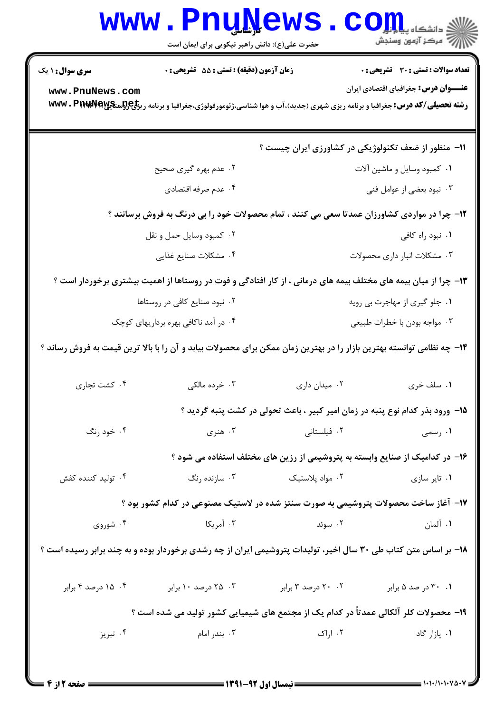|                                                                                                                       | <b>www.PnuNews</b><br>حضرت علی(ع): دانش راهبر نیکویی برای ایمان است                                             |                                                                                                                                                                                               | ي دانشگاه پ <b>يام لور</b><br>پ<br>/<br>// مرکز آزمون وسنجش |  |  |  |
|-----------------------------------------------------------------------------------------------------------------------|-----------------------------------------------------------------------------------------------------------------|-----------------------------------------------------------------------------------------------------------------------------------------------------------------------------------------------|-------------------------------------------------------------|--|--|--|
| <b>سری سوال : ۱ یک</b>                                                                                                | <b>زمان آزمون (دقیقه) : تستی : 55 تشریحی : 0</b>                                                                |                                                                                                                                                                                               | <b>تعداد سوالات : تستی : 30 ٪ تشریحی : 0</b>                |  |  |  |
| www.PnuNews.com                                                                                                       |                                                                                                                 | <b>عنـــوان درس:</b> جغرافیای اقتصادی ایران<br><b>رشته تحصیلی/کد درس:</b> جغرافیا و برنامه ریزی شهری (جدید)،آب و هوا شناسی،ژئومورفولوژی،جغرافیا و برنامه ری <del>زلیCولیتیها www . Prwy</del> |                                                             |  |  |  |
|                                                                                                                       | 11- منظور از ضعف تکنولوژیکی در کشاورزی ایران چیست ؟                                                             |                                                                                                                                                                                               |                                                             |  |  |  |
|                                                                                                                       | ۲. عدم بهره گیری صحیح                                                                                           |                                                                                                                                                                                               | ۰۱ کمبود وسایل و ماشین آلات                                 |  |  |  |
|                                                                                                                       | ۰۴ عدم صرفه اقتصادي                                                                                             | ۰۳ نبود بعضی از عوامل فنی                                                                                                                                                                     |                                                             |  |  |  |
|                                                                                                                       | <b>۱۲</b> - چرا در مواردی کشاورزان عمدتا سعی می کنند ، تمام محصولات خود را بی درنگ به فروش برسانند ؟            |                                                                                                                                                                                               |                                                             |  |  |  |
|                                                                                                                       | ۰۲ كمبود وسايل حمل و نقل                                                                                        | ٠١ نبود راه كافي                                                                                                                                                                              |                                                             |  |  |  |
|                                                                                                                       | ۰۴ مشكلات صنايع غذايي                                                                                           | ۰۳ مشکلات انبار داری محصولات                                                                                                                                                                  |                                                             |  |  |  |
|                                                                                                                       | ۱۳- چرا از میان بیمه های مختلف بیمه های درمانی ، از کار افتادگی و فوت در روستاها از اهمیت بیشتری برخوردار است ؟ |                                                                                                                                                                                               |                                                             |  |  |  |
|                                                                                                                       | ۰۲ نبود صنایع کافی در روستاها                                                                                   | ۰۱ جلو گیری از مهاجرت بی رویه                                                                                                                                                                 |                                                             |  |  |  |
|                                                                                                                       | ۰۴ در آمد ناکافی بهره برداریهای کوچک                                                                            | ۰۳ مواجه بودن با خطرات طبیعی                                                                                                                                                                  |                                                             |  |  |  |
| ۱۴- چه نظامی توانسته بهترین بازار را در بهترین زمان ممکن برای محصولات بیابد و آن را با بالا ترین قیمت به فروش رساند ؟ |                                                                                                                 |                                                                                                                                                                                               |                                                             |  |  |  |
| ۰۴ کشت تجاری                                                                                                          | ۰۳ خرده مالکی                                                                                                   | ٠٢ ميدان دارى                                                                                                                                                                                 | ۰۱ سلف خری                                                  |  |  |  |
|                                                                                                                       |                                                                                                                 | ۱۵- ورود بذر کدام نوع پنبه در زمان امیر کبیر ، باعث تحولی در کشت پنبه گردید ؟                                                                                                                 |                                                             |  |  |  |
| ۰۴ خود رنگ                                                                                                            | ۰۳ هنري                                                                                                         | ۰۲ فیلستانی                                                                                                                                                                                   | ۰۱ رسمی                                                     |  |  |  |
|                                                                                                                       |                                                                                                                 | ۱۶– در کدامیک از صنایع وابسته به پتروشیمی از رزین های مختلف استفاده می شود ؟                                                                                                                  |                                                             |  |  |  |
| ۰۴ تولید کننده کفش                                                                                                    |                                                                                                                 | ۰۲ مواد پلاستیک سیست ازنده رنگ                                                                                                                                                                | ۰۱ تایر سازی                                                |  |  |  |
|                                                                                                                       | ۱۷– آغاز ساخت محصولات پتروشیمی به صورت سنتز شده در لاستیک مصنوعی در کدام کشور بود ؟                             |                                                                                                                                                                                               |                                                             |  |  |  |
| ۰۴ شوروی                                                                                                              | ۰۳ آمریکا                                                                                                       | ۰۲ سوئد                                                                                                                                                                                       | ۰۱ آلمان                                                    |  |  |  |
| ۱۸– بر اساس متن کتاب طی ۳۰ سال اخیر، تولیدات پتروشیمی ایران از چه رشدی برخوردار بوده و به چند برابر رسیده است ؟       |                                                                                                                 |                                                                                                                                                                                               |                                                             |  |  |  |
| ۰۴ درصد ۴ برابر                                                                                                       | ۰۳ درصد ۱۰ برابر                                                                                                | ۲۰ ۲۰ درصد ۳ برابر                                                                                                                                                                            | ۰۱ ۳۰ در صد ۵ برابر                                         |  |  |  |
|                                                                                                                       | ۱۹- محصولات کلر آلکالی عمدتاً در کدام یک از مجتمع های شیمیایی کشور تولید می شده است ؟                           |                                                                                                                                                                                               |                                                             |  |  |  |
| ۰۴ تېريز                                                                                                              | ۰۲ اراک در ۲۰۰۰ تا ۲۰۰۰ بندر امام ۲۰۰                                                                           |                                                                                                                                                                                               | ۰۱ پازار گاد                                                |  |  |  |
|                                                                                                                       |                                                                                                                 |                                                                                                                                                                                               |                                                             |  |  |  |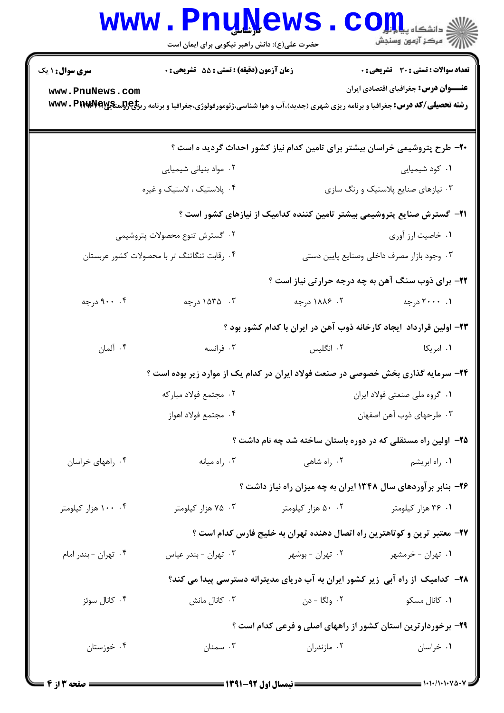|                                                                                           | <b>www.PnuNews</b><br>حضرت علی(ع): دانش راهبر نیکویی برای ایمان است                                                                                          |                                         | الله دانشگاه پیام اور COM<br>الله مرکز آنههن وسنجش                              |  |  |
|-------------------------------------------------------------------------------------------|--------------------------------------------------------------------------------------------------------------------------------------------------------------|-----------------------------------------|---------------------------------------------------------------------------------|--|--|
| <b>سری سوال : ۱ یک</b>                                                                    | زمان آزمون (دقیقه) : تستی : 55 آتشریحی : 0                                                                                                                   |                                         | <b>تعداد سوالات : تستی : 30 ٪ تشریحی : 0</b>                                    |  |  |
| www.PnuNews.com                                                                           |                                                                                                                                                              |                                         | <b>عنـــوان درس:</b> جغرافیای اقتصادی ایران                                     |  |  |
|                                                                                           | <b>رشته تحصیلی/کد درس:</b> جغرافیا و برنامه ریزی شهری (جدید)،آب و هوا شناسی،ژئومورفولوژی،جغرافیا و برنامه ری <del>زلیCولو</del> سیگی <b>A www . PirwPfer</b> |                                         |                                                                                 |  |  |
|                                                                                           |                                                                                                                                                              |                                         | +۲- طرح پتروشیمی خراسان بیشتر برای تامین کدام نیاز کشور احداث گردید ه است ؟     |  |  |
|                                                                                           | ۰۲ مواد بنیانی شیمیایی                                                                                                                                       |                                         | ۰۱ کود شیمیایی                                                                  |  |  |
|                                                                                           | ۰۴ پلاستیک ، لاستیک و غیره                                                                                                                                   |                                         | ۰۳ نیازهای صنایع پلاستیک و رنگ سازی                                             |  |  |
|                                                                                           |                                                                                                                                                              |                                         | <b>۲۱</b> - گسترش صنایع پتروشیمی بیشتر تامین کننده کدامیک از نیازهای کشور است ؟ |  |  |
| ۰۲ گسترش تنوع محصولات پتروشیمی                                                            |                                                                                                                                                              |                                         | ٠١ خاصيت ارز آوري                                                               |  |  |
| ۰۴ رقابت تنگاتنگ تر با محصولات کشور عربستان<br>۰۳ وجود بازار مصرف داخلی وصنایع پایین دستی |                                                                                                                                                              |                                         |                                                                                 |  |  |
|                                                                                           |                                                                                                                                                              |                                         | ۲۲- برای ذوب سنگ آهن به چه درجه حرارتی نیاز است ؟                               |  |  |
| ۰۰ ورجه                                                                                   | ۰۳ - ۱۵۳۵ درجه                                                                                                                                               | ۰۲ ۱۸۸۶ درجه                            | ۰۱ ۲۰۰۰۰ درجه                                                                   |  |  |
|                                                                                           |                                                                                                                                                              |                                         | ۲۳- اولین قرارداد  یجاد کارخانه ذوب آهن در ایران با کدام کشور بود ؟             |  |  |
| ۰۴ آلمان                                                                                  | ۰۳ فرانسه                                                                                                                                                    | ۰۲ انگلیس                               | ۰۱ امریکا                                                                       |  |  |
| <b>۲۴</b> - سرمایه گذاری بخش خصوصی در صنعت فولاد ایران در کدام یک از موارد زیر بوده است ؟ |                                                                                                                                                              |                                         |                                                                                 |  |  |
| ۰۲ مجتمع فولاد مباركه                                                                     |                                                                                                                                                              |                                         | ۰۱ گروه ملی صنعتی فولاد ایران                                                   |  |  |
|                                                                                           | ۰۴ مجتمع فولاد اهواز                                                                                                                                         | ۰۳ طرحهای ذوب آهن اصفهان                |                                                                                 |  |  |
|                                                                                           |                                                                                                                                                              |                                         | ۲۵– آولین راه مستقلی که در دوره باستان ساخته شد چه نام داشت ؟                   |  |  |
| ۰۴ راههای خراسان                                                                          | ۰۳ راه میانه                                                                                                                                                 | ۰۲ راه شاهی                             | ۰۱ راه ابریشم                                                                   |  |  |
|                                                                                           |                                                                                                                                                              |                                         | ۲۶- بنابر برآوردهای سال ۱۳۴۸ ایران به چه میزان راه نیاز داشت ؟                  |  |  |
| ۰۴ ۱۰۰ هزار کیلومتر                                                                       | ۰۳ هزار کیلومتر                                                                                                                                              |                                         | ۰۱ ۳۶ هزار کیلومتر مسمعه ۵۰ ۰ هزار کیلومتر                                      |  |  |
|                                                                                           |                                                                                                                                                              |                                         | ۲۷- معتبر ترین و کوتاهترین راه اتصال دهنده تهران به خلیج فارس کدام است ؟        |  |  |
| ۰۴ تهران - بندر امام                                                                      | ۰۳ تهران - بندر عياس                                                                                                                                         | ۰۱ تهران - خرمشهر مسمه ۲۰ تهران - بوشهر |                                                                                 |  |  |
|                                                                                           |                                                                                                                                                              |                                         | ۲۸– کدامیک از راه آبی زیر کشور ایران به آب دریای مدیترانه دسترسی پیدا می کند؟   |  |  |
| ۰۴ کانال سوئز                                                                             | ۰۳ کانال مانش                                                                                                                                                | ۲. ولگا - دن                            | ۰۱ کانال مسکو                                                                   |  |  |
| ۲۹- برخوردارترین استان کشور از راههای اصلی و فرعی کدام است ؟                              |                                                                                                                                                              |                                         |                                                                                 |  |  |
| ۰۴ خوزستان                                                                                | ۰۳ سمنان                                                                                                                                                     | ۰۲ مازندران                             | ۰۱ خراسان                                                                       |  |  |
|                                                                                           |                                                                                                                                                              |                                         |                                                                                 |  |  |